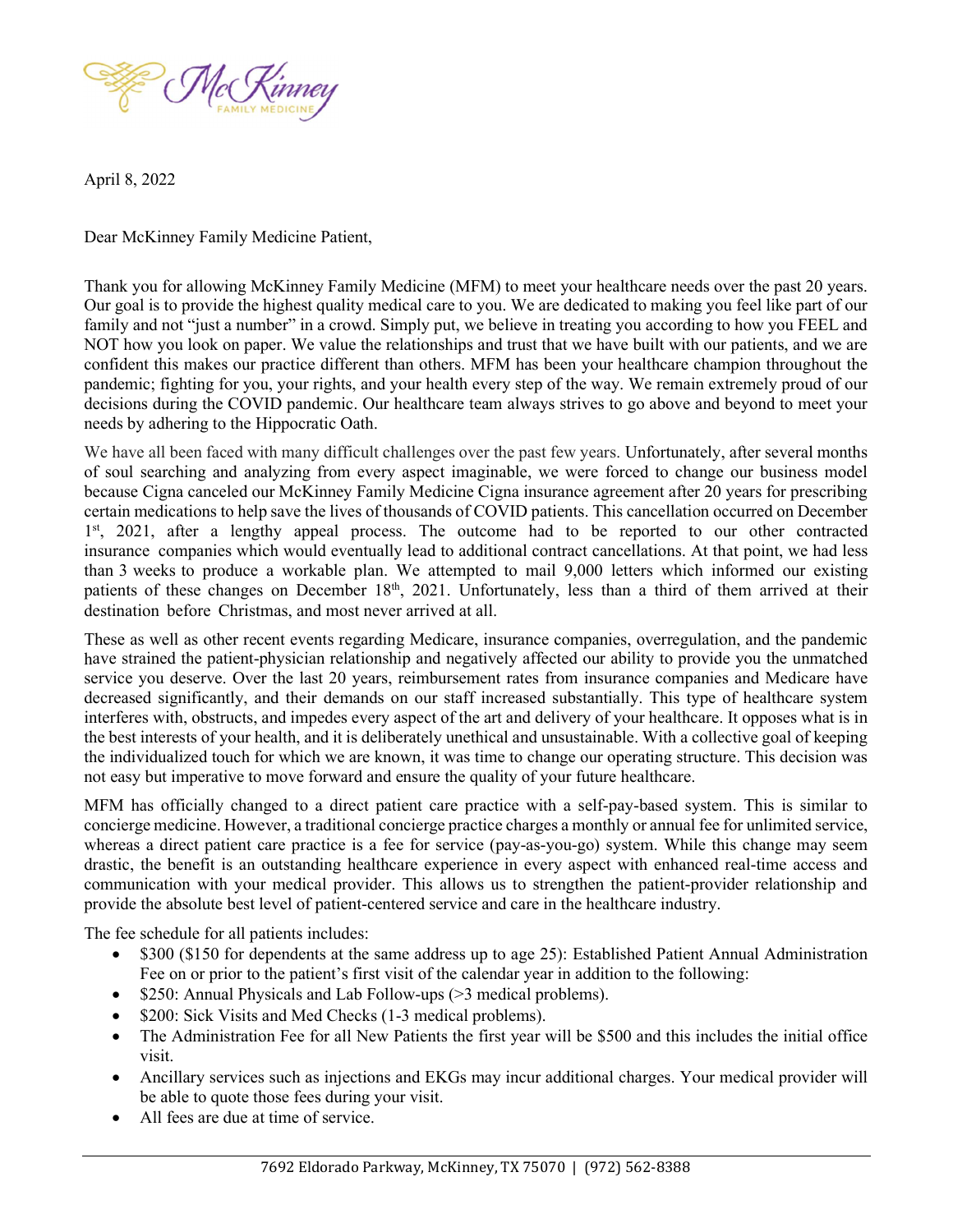

April 8, 2022

Dear McKinney Family Medicine Patient,

Thank you for allowing McKinney Family Medicine (MFM) to meet your healthcare needs over the past 20 years. Our goal is to provide the highest quality medical care to you. We are dedicated to making you feel like part of our family and not "just a number" in a crowd. Simply put, we believe in treating you according to how you FEEL and NOT how you look on paper. We value the relationships and trust that we have built with our patients, and we are confident this makes our practice different than others. MFM has been your healthcare champion throughout the pandemic; fighting for you, your rights, and your health every step of the way. We remain extremely proud of our decisions during the COVID pandemic. Our healthcare team always strives to go above and beyond to meet your needs by adhering to the Hippocratic Oath.

We have all been faced with many difficult challenges over the past few years. Unfortunately, after several months of soul searching and analyzing from every aspect imaginable, we were forced to change our business model because Cigna canceled our McKinney Family Medicine Cigna insurance agreement after 20 years for prescribing certain medications to help save the lives of thousands of COVID patients. This cancellation occurred on December 1<sup>st</sup>, 2021, after a lengthy appeal process. The outcome had to be reported to our other contracted insurance companies which would eventually lead to additional contract cancellations. At that point, we had less than 3 weeks to produce a workable plan. We attempted to mail 9,000 letters which informed our existing patients of these changes on December 18<sup>th</sup>, 2021. Unfortunately, less than a third of them arrived at their destination before Christmas, and most never arrived at all.

These as well as other recent events regarding Medicare, insurance companies, overregulation, and the pandemic have strained the patient-physician relationship and negatively affected our ability to provide you the unmatched service you deserve. Over the last 20 years, reimbursement rates from insurance companies and Medicare have decreased significantly, and their demands on our staff increased substantially. This type of healthcare system interferes with, obstructs, and impedes every aspect of the art and delivery of your healthcare. It opposes what is in the best interests of your health, and it is deliberately unethical and unsustainable. With a collective goal of keeping the individualized touch for which we are known, it was time to change our operating structure. This decision was not easy but imperative to move forward and ensure the quality of your future healthcare.

MFM has officially changed to a direct patient care practice with a self-pay-based system. This is similar to concierge medicine. However, a traditional concierge practice charges a monthly or annual fee for unlimited service, whereas a direct patient care practice is a fee for service (pay-as-you-go) system. While this change may seem drastic, the benefit is an outstanding healthcare experience in every aspect with enhanced real-time access and communication with your medical provider. This allows us to strengthen the patient-provider relationship and provide the absolute best level of patient-centered service and care in the healthcare industry.

The fee schedule for all patients includes:

- \$300 (\$150 for dependents at the same address up to age 25): Established Patient Annual Administration Fee on or prior to the patient's first visit of the calendar year in addition to the following:
- $\bullet$  \$250: Annual Physicals and Lab Follow-ups ( $>$ 3 medical problems).
- \$200: Sick Visits and Med Checks (1-3 medical problems).
- The Administration Fee for all New Patients the first year will be \$500 and this includes the initial office visit.
- Ancillary services such as injections and EKGs may incur additional charges. Your medical provider will be able to quote those fees during your visit.
- All fees are due at time of service.